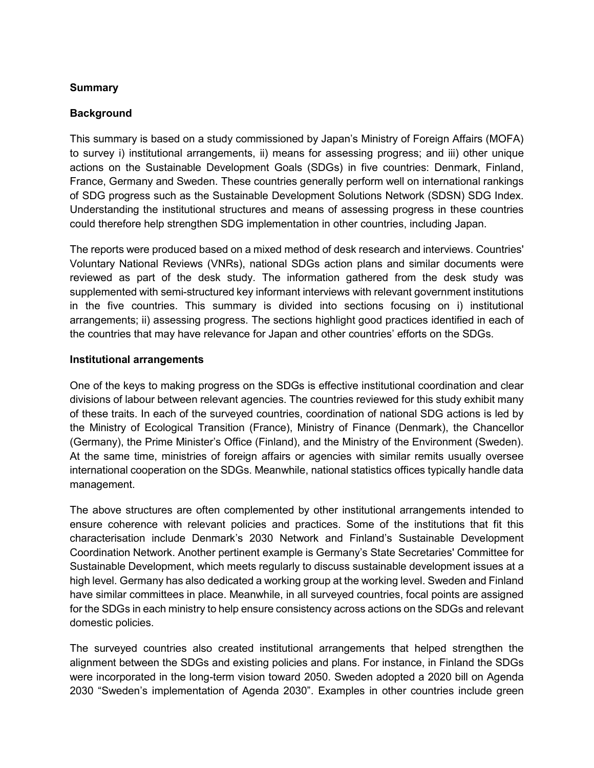## **Summary**

#### **Background**

This summary is based on a study commissioned by Japan's Ministry of Foreign Affairs (MOFA) to survey i) institutional arrangements, ii) means for assessing progress; and iii) other unique actions on the Sustainable Development Goals (SDGs) in five countries: Denmark, Finland, France, Germany and Sweden. These countries generally perform well on international rankings of SDG progress such as the Sustainable Development Solutions Network (SDSN) SDG Index. Understanding the institutional structures and means of assessing progress in these countries could therefore help strengthen SDG implementation in other countries, including Japan.

The reports were produced based on a mixed method of desk research and interviews. Countries' Voluntary National Reviews (VNRs), national SDGs action plans and similar documents were reviewed as part of the desk study. The information gathered from the desk study was supplemented with semi-structured key informant interviews with relevant government institutions in the five countries. This summary is divided into sections focusing on i) institutional arrangements; ii) assessing progress. The sections highlight good practices identified in each of the countries that may have relevance for Japan and other countries' efforts on the SDGs.

#### **Institutional arrangements**

One of the keys to making progress on the SDGs is effective institutional coordination and clear divisions of labour between relevant agencies. The countries reviewed for this study exhibit many of these traits. In each of the surveyed countries, coordination of national SDG actions is led by the Ministry of Ecological Transition (France), Ministry of Finance (Denmark), the Chancellor (Germany), the Prime Minister's Office (Finland), and the Ministry of the Environment (Sweden). At the same time, ministries of foreign affairs or agencies with similar remits usually oversee international cooperation on the SDGs. Meanwhile, national statistics offices typically handle data management.

The above structures are often complemented by other institutional arrangements intended to ensure coherence with relevant policies and practices. Some of the institutions that fit this characterisation include Denmark's 2030 Network and Finland's Sustainable Development Coordination Network. Another pertinent example is Germany's State Secretaries' Committee for Sustainable Development, which meets regularly to discuss sustainable development issues at a high level. Germany has also dedicated a working group at the working level. Sweden and Finland have similar committees in place. Meanwhile, in all surveyed countries, focal points are assigned for the SDGs in each ministry to help ensure consistency across actions on the SDGs and relevant domestic policies.

The surveyed countries also created institutional arrangements that helped strengthen the alignment between the SDGs and existing policies and plans. For instance, in Finland the SDGs were incorporated in the long-term vision toward 2050. Sweden adopted a 2020 bill on Agenda 2030 "Sweden's implementation of Agenda 2030". Examples in other countries include green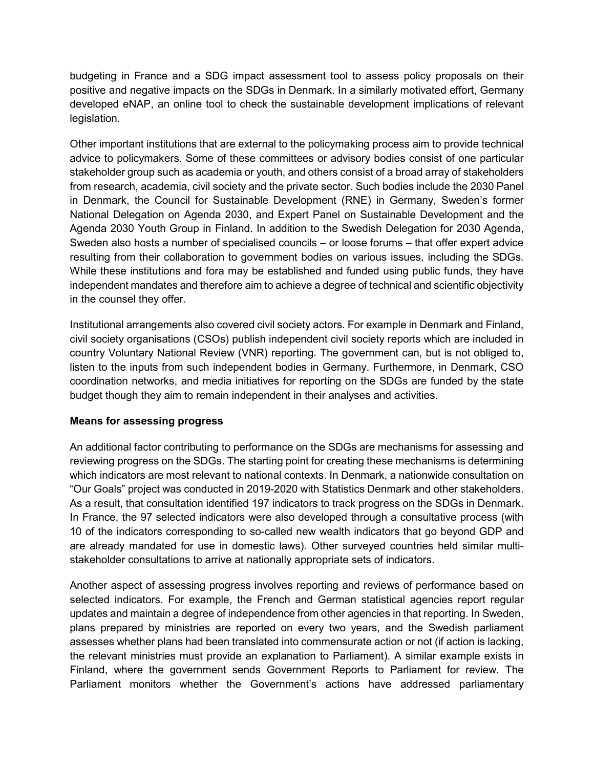budgeting in France and a SDG impact assessment tool to assess policy proposals on their positive and negative impacts on the SDGs in Denmark. In a similarly motivated effort, Germany developed eNAP, an online tool to check the sustainable development implications of relevant legislation.

Other important institutions that are external to the policymaking process aim to provide technical advice to policymakers. Some of these committees or advisory bodies consist of one particular stakeholder group such as academia or youth, and others consist of a broad array of stakeholders from research, academia, civil society and the private sector. Such bodies include the 2030 Panel in Denmark, the Council for Sustainable Development (RNE) in Germany, Sweden's former National Delegation on Agenda 2030, and Expert Panel on Sustainable Development and the Agenda 2030 Youth Group in Finland. In addition to the Swedish Delegation for 2030 Agenda, Sweden also hosts a number of specialised councils – or loose forums – that offer expert advice resulting from their collaboration to government bodies on various issues, including the SDGs. While these institutions and fora may be established and funded using public funds, they have independent mandates and therefore aim to achieve a degree of technical and scientific objectivity in the counsel they offer.

Institutional arrangements also covered civil society actors. For example in Denmark and Finland, civil society organisations (CSOs) publish independent civil society reports which are included in country Voluntary National Review (VNR) reporting. The government can, but is not obliged to, listen to the inputs from such independent bodies in Germany. Furthermore, in Denmark, CSO coordination networks, and media initiatives for reporting on the SDGs are funded by the state budget though they aim to remain independent in their analyses and activities.

## **Means for assessing progress**

An additional factor contributing to performance on the SDGs are mechanisms for assessing and reviewing progress on the SDGs. The starting point for creating these mechanisms is determining which indicators are most relevant to national contexts. In Denmark, a nationwide consultation on "Our Goals" project was conducted in 2019-2020 with Statistics Denmark and other stakeholders. As a result, that consultation identified 197 indicators to track progress on the SDGs in Denmark. In France, the 97 selected indicators were also developed through a consultative process (with 10 of the indicators corresponding to so-called new wealth indicators that go beyond GDP and are already mandated for use in domestic laws). Other surveyed countries held similar multistakeholder consultations to arrive at nationally appropriate sets of indicators.

Another aspect of assessing progress involves reporting and reviews of performance based on selected indicators. For example, the French and German statistical agencies report regular updates and maintain a degree of independence from other agencies in that reporting. In Sweden, plans prepared by ministries are reported on every two years, and the Swedish parliament assesses whether plans had been translated into commensurate action or not (if action is lacking, the relevant ministries must provide an explanation to Parliament). A similar example exists in Finland, where the government sends Government Reports to Parliament for review. The Parliament monitors whether the Government's actions have addressed parliamentary